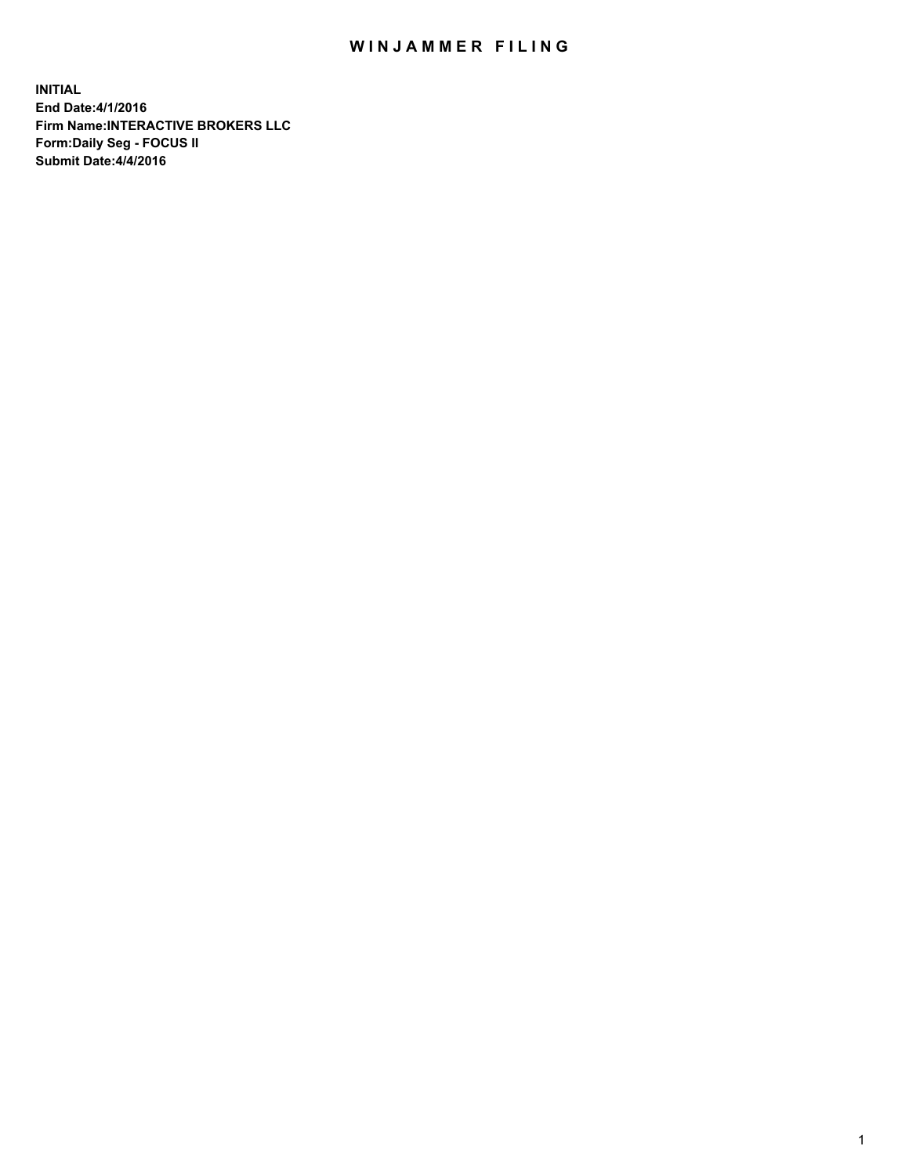## WIN JAMMER FILING

**INITIAL End Date:4/1/2016 Firm Name:INTERACTIVE BROKERS LLC Form:Daily Seg - FOCUS II Submit Date:4/4/2016**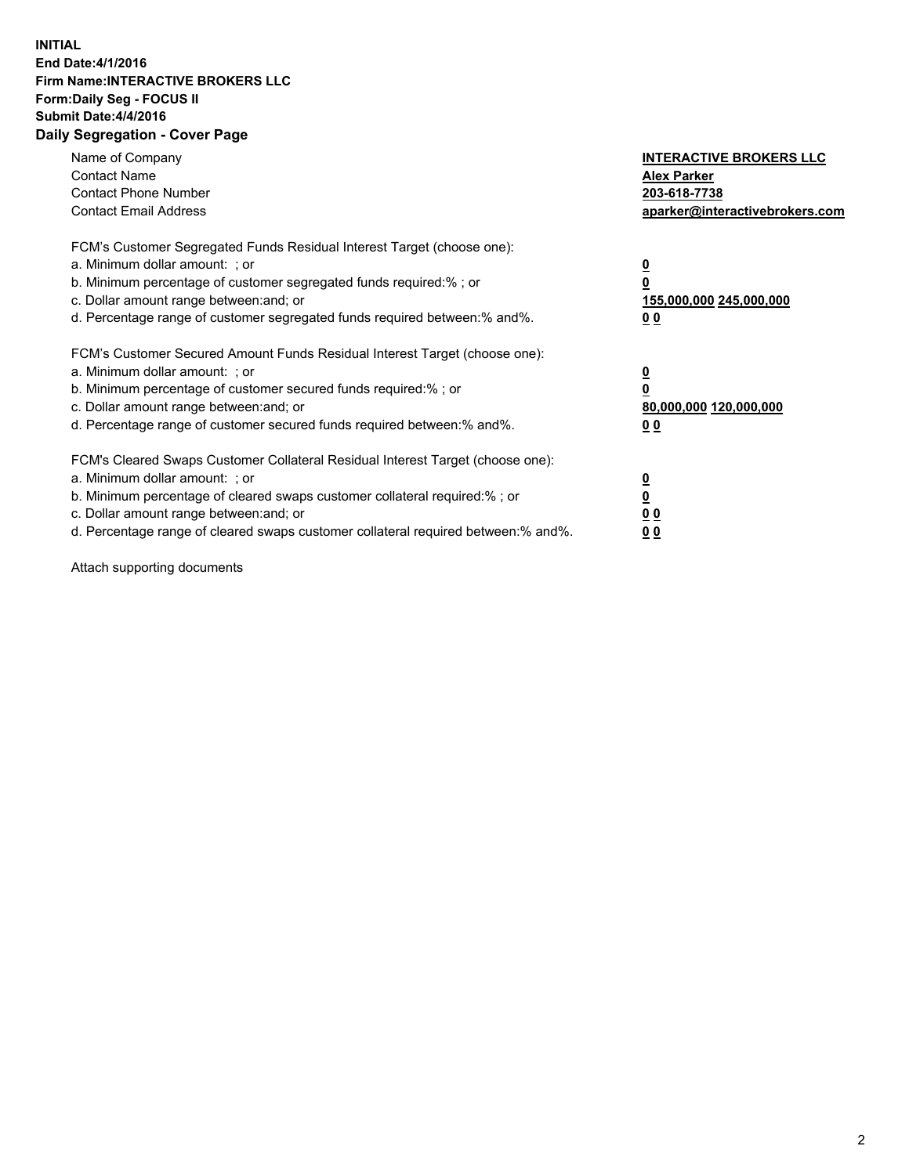## **INITIAL End Date:4/1/2016 Firm Name:INTERACTIVE BROKERS LLC Form:Daily Seg - FOCUS II Submit Date:4/4/2016 Daily Segregation - Cover Page**

| Name of Company<br><b>Contact Name</b><br><b>Contact Phone Number</b><br><b>Contact Email Address</b>                                                                                                                                                                                                                          | <b>INTERACTIVE BROKERS LLC</b><br><b>Alex Parker</b><br>203-618-7738<br>aparker@interactivebrokers.com |
|--------------------------------------------------------------------------------------------------------------------------------------------------------------------------------------------------------------------------------------------------------------------------------------------------------------------------------|--------------------------------------------------------------------------------------------------------|
| FCM's Customer Segregated Funds Residual Interest Target (choose one):<br>a. Minimum dollar amount: ; or<br>b. Minimum percentage of customer segregated funds required:%; or<br>c. Dollar amount range between: and; or<br>d. Percentage range of customer segregated funds required between:% and%.                          | <u>0</u><br>155,000,000 245,000,000<br><u>00</u>                                                       |
| FCM's Customer Secured Amount Funds Residual Interest Target (choose one):<br>a. Minimum dollar amount: ; or<br>b. Minimum percentage of customer secured funds required:% ; or<br>c. Dollar amount range between: and; or<br>d. Percentage range of customer secured funds required between: % and %.                         | <u>0</u><br>80,000,000 120,000,000<br><u>00</u>                                                        |
| FCM's Cleared Swaps Customer Collateral Residual Interest Target (choose one):<br>a. Minimum dollar amount: ; or<br>b. Minimum percentage of cleared swaps customer collateral required:% ; or<br>c. Dollar amount range between: and; or<br>d. Percentage range of cleared swaps customer collateral required between:% and%. | <u>0</u><br>0 <sub>0</sub><br>0 <sub>0</sub>                                                           |

Attach supporting documents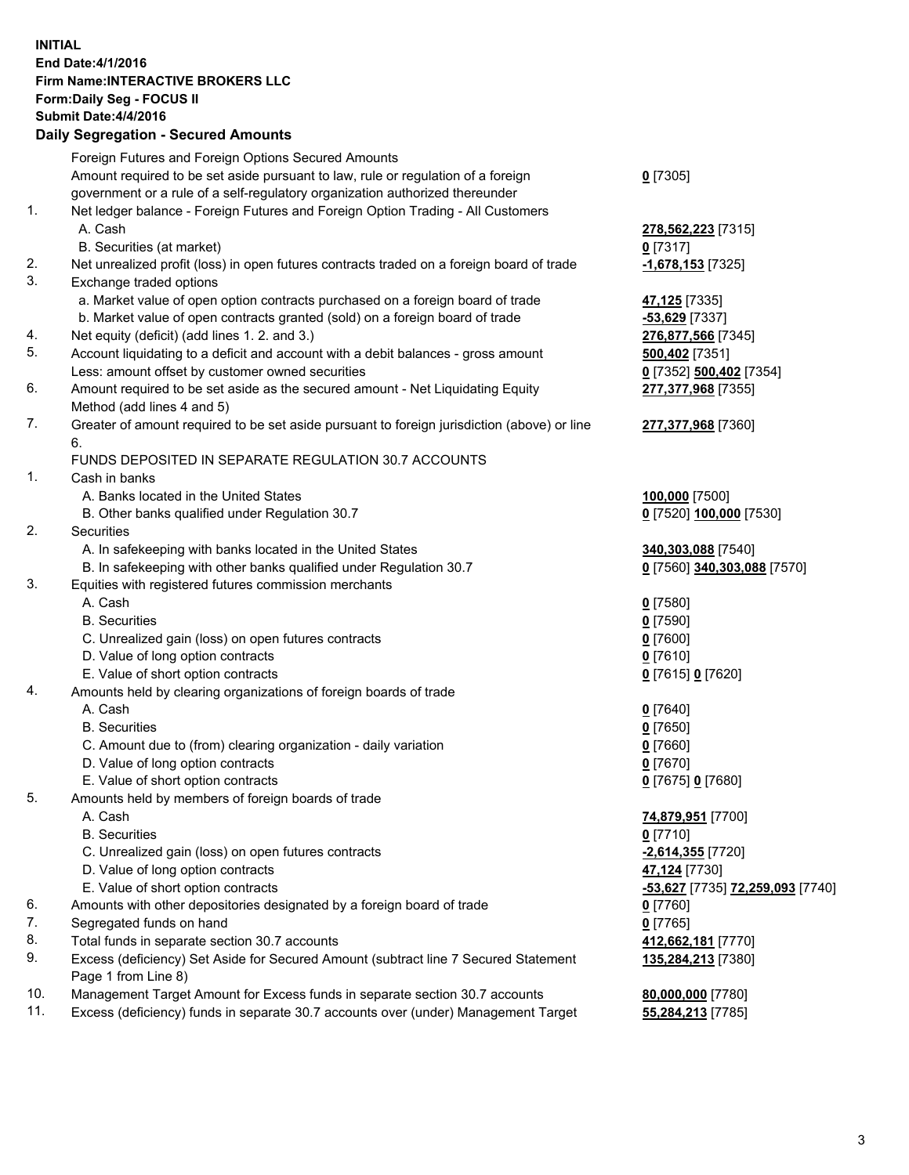## **INITIAL End Date:4/1/2016 Firm Name:INTERACTIVE BROKERS LLC Form:Daily Seg - FOCUS II Submit Date:4/4/2016 Daily Segregation - Secured Amounts**

|     | Daily Ocglegation - Occuled Amounts                                                         |                                  |
|-----|---------------------------------------------------------------------------------------------|----------------------------------|
|     | Foreign Futures and Foreign Options Secured Amounts                                         |                                  |
|     | Amount required to be set aside pursuant to law, rule or regulation of a foreign            | $0$ [7305]                       |
|     | government or a rule of a self-regulatory organization authorized thereunder                |                                  |
| 1.  | Net ledger balance - Foreign Futures and Foreign Option Trading - All Customers             |                                  |
|     | A. Cash                                                                                     | 278,562,223 [7315]               |
|     | B. Securities (at market)                                                                   | $0$ [7317]                       |
| 2.  | Net unrealized profit (loss) in open futures contracts traded on a foreign board of trade   | -1,678,153 [7325]                |
| 3.  | Exchange traded options                                                                     |                                  |
|     | a. Market value of open option contracts purchased on a foreign board of trade              | 47,125 [7335]                    |
|     | b. Market value of open contracts granted (sold) on a foreign board of trade                | $-53,629$ [7337]                 |
| 4.  | Net equity (deficit) (add lines 1.2. and 3.)                                                | 276,877,566 [7345]               |
| 5.  | Account liquidating to a deficit and account with a debit balances - gross amount           | 500,402 [7351]                   |
|     | Less: amount offset by customer owned securities                                            | 0 [7352] 500,402 [7354]          |
| 6.  | Amount required to be set aside as the secured amount - Net Liquidating Equity              | 277,377,968 [7355]               |
|     | Method (add lines 4 and 5)                                                                  |                                  |
| 7.  | Greater of amount required to be set aside pursuant to foreign jurisdiction (above) or line | 277,377,968 [7360]               |
|     | 6.                                                                                          |                                  |
|     | FUNDS DEPOSITED IN SEPARATE REGULATION 30.7 ACCOUNTS                                        |                                  |
| 1.  | Cash in banks                                                                               |                                  |
|     | A. Banks located in the United States                                                       | 100,000 [7500]                   |
|     | B. Other banks qualified under Regulation 30.7                                              | 0 [7520] 100,000 [7530]          |
| 2.  | Securities                                                                                  |                                  |
|     | A. In safekeeping with banks located in the United States                                   | 340,303,088 [7540]               |
|     | B. In safekeeping with other banks qualified under Regulation 30.7                          | 0 [7560] 340,303,088 [7570]      |
| 3.  | Equities with registered futures commission merchants                                       |                                  |
|     | A. Cash                                                                                     | $0$ [7580]                       |
|     | <b>B.</b> Securities                                                                        | $0$ [7590]                       |
|     | C. Unrealized gain (loss) on open futures contracts                                         | $0$ [7600]                       |
|     | D. Value of long option contracts                                                           | $0$ [7610]                       |
|     | E. Value of short option contracts                                                          | 0 [7615] 0 [7620]                |
| 4.  | Amounts held by clearing organizations of foreign boards of trade                           |                                  |
|     | A. Cash                                                                                     | $0$ [7640]                       |
|     | <b>B.</b> Securities                                                                        | $0$ [7650]                       |
|     | C. Amount due to (from) clearing organization - daily variation                             | $0$ [7660]                       |
|     | D. Value of long option contracts                                                           | $0$ [7670]                       |
|     | E. Value of short option contracts                                                          | 0 [7675] 0 [7680]                |
| 5.  | Amounts held by members of foreign boards of trade                                          |                                  |
|     | A. Cash                                                                                     | 74,879,951 [7700]                |
|     | <b>B.</b> Securities                                                                        | $0$ [7710]                       |
|     | C. Unrealized gain (loss) on open futures contracts                                         | $-2,614,355$ [7720]              |
|     | D. Value of long option contracts                                                           | 47,124 [7730]                    |
|     | E. Value of short option contracts                                                          | -53,627 [7735] 72,259,093 [7740] |
| 6.  | Amounts with other depositories designated by a foreign board of trade                      | 0 [7760]                         |
| 7.  | Segregated funds on hand                                                                    | $0$ [7765]                       |
| 8.  | Total funds in separate section 30.7 accounts                                               | 412,662,181 [7770]               |
| 9.  | Excess (deficiency) Set Aside for Secured Amount (subtract line 7 Secured Statement         | 135,284,213 [7380]               |
|     | Page 1 from Line 8)                                                                         |                                  |
| 10. | Management Target Amount for Excess funds in separate section 30.7 accounts                 | 80,000,000 [7780]                |
| 11. | Excess (deficiency) funds in separate 30.7 accounts over (under) Management Target          | 55,284,213 [7785]                |
|     |                                                                                             |                                  |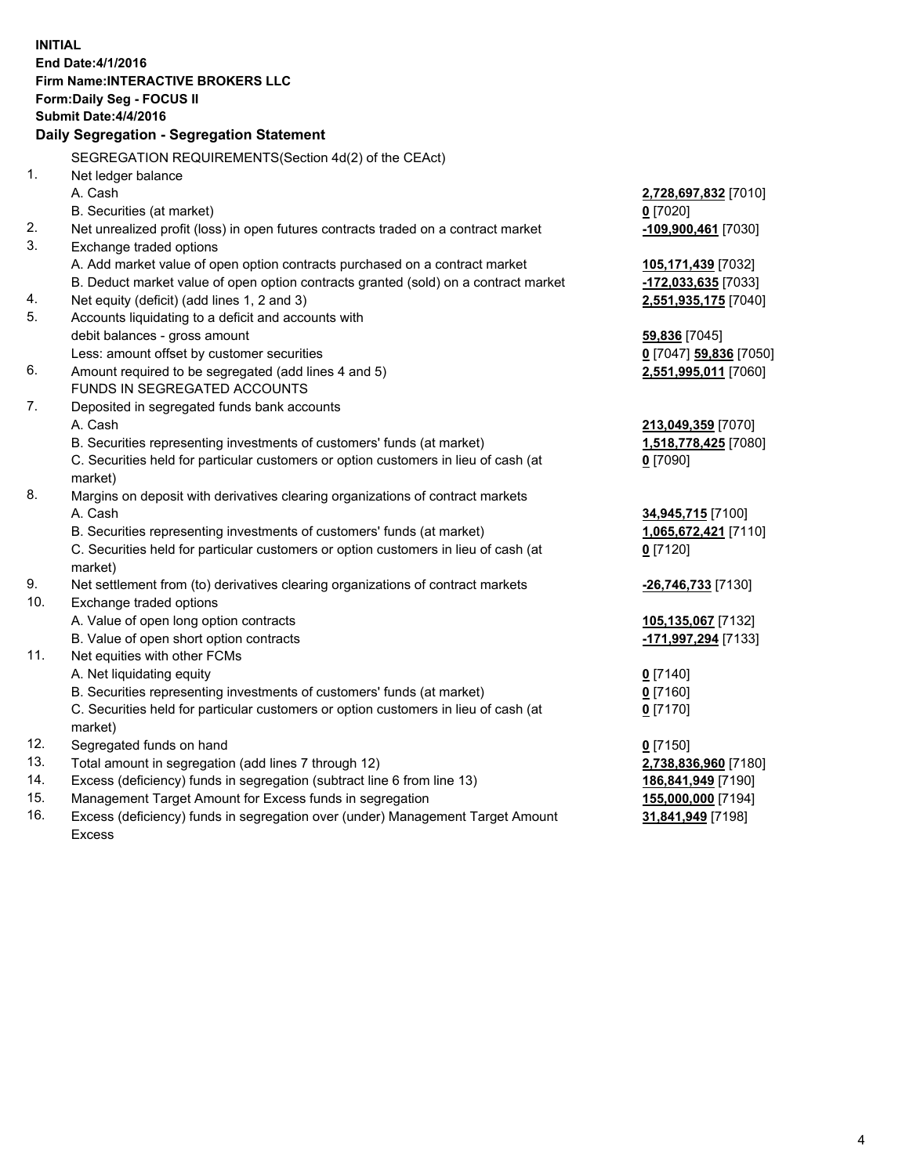**INITIAL End Date:4/1/2016 Firm Name:INTERACTIVE BROKERS LLC Form:Daily Seg - FOCUS II Submit Date:4/4/2016 Daily Segregation - Segregation Statement** SEGREGATION REQUIREMENTS(Section 4d(2) of the CEAct) 1. Net ledger balance A. Cash **2,728,697,832** [7010] B. Securities (at market) **0** [7020] 2. Net unrealized profit (loss) in open futures contracts traded on a contract market **-109,900,461** [7030] 3. Exchange traded options A. Add market value of open option contracts purchased on a contract market **105,171,439** [7032] B. Deduct market value of open option contracts granted (sold) on a contract market **-172,033,635** [7033] 4. Net equity (deficit) (add lines 1, 2 and 3) **2,551,935,175** [7040] 5. Accounts liquidating to a deficit and accounts with debit balances - gross amount **59,836** [7045] Less: amount offset by customer securities **0** [7047] **59,836** [7050] 6. Amount required to be segregated (add lines 4 and 5) **2,551,995,011** [7060] FUNDS IN SEGREGATED ACCOUNTS 7. Deposited in segregated funds bank accounts A. Cash **213,049,359** [7070] B. Securities representing investments of customers' funds (at market) **1,518,778,425** [7080] C. Securities held for particular customers or option customers in lieu of cash (at market) **0** [7090] 8. Margins on deposit with derivatives clearing organizations of contract markets A. Cash **34,945,715** [7100] B. Securities representing investments of customers' funds (at market) **1,065,672,421** [7110] C. Securities held for particular customers or option customers in lieu of cash (at market) **0** [7120] 9. Net settlement from (to) derivatives clearing organizations of contract markets **-26,746,733** [7130] 10. Exchange traded options A. Value of open long option contracts **105,135,067** [7132] B. Value of open short option contracts **-171,997,294** [7133] 11. Net equities with other FCMs A. Net liquidating equity **0** [7140] B. Securities representing investments of customers' funds (at market) **0** [7160] C. Securities held for particular customers or option customers in lieu of cash (at market) **0** [7170] 12. Segregated funds on hand **0** [7150] 13. Total amount in segregation (add lines 7 through 12) **2,738,836,960** [7180] 14. Excess (deficiency) funds in segregation (subtract line 6 from line 13) **186,841,949** [7190] 15. Management Target Amount for Excess funds in segregation **155,000,000** [7194] 16. Excess (deficiency) funds in segregation over (under) Management Target Amount **31,841,949** [7198]

Excess